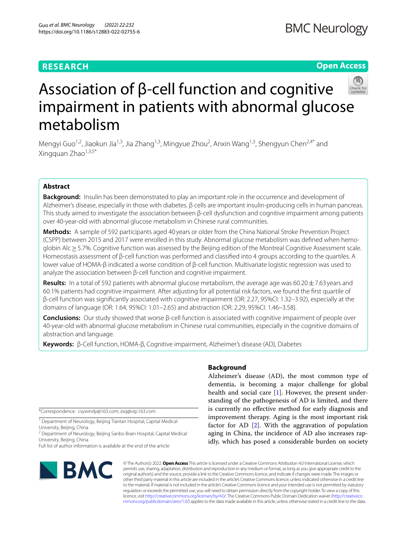# **RESEARCH**

# **BMC Neurology**

# **Open Access**



# Association of β-cell function and cognitive impairment in patients with abnormal glucose metabolism

Mengyi Guo<sup>1,2</sup>, Jiaokun Jia<sup>1,3</sup>, Jia Zhang<sup>1,3</sup>, Mingyue Zhou<sup>2</sup>, Anxin Wang<sup>1,3</sup>, Shengyun Chen<sup>2,4\*</sup> and Xingquan Zhao $1,3,5*$ 

# **Abstract**

**Background:** Insulin has been demonstrated to play an important role in the occurrence and development of Alzheimer's disease, especially in those with diabetes. β cells are important insulin-producing cells in human pancreas. This study aimed to investigate the association between β-cell dysfunction and cognitive impairment among patients over 40-year-old with abnormal glucose metabolism in Chinese rural communities.

**Methods:** A sample of 592 participants aged 40 years or older from the China National Stroke Prevention Project (CSPP) between 2015 and 2017 were enrolled in this study. Abnormal glucose metabolism was defned when hemoglobin Alc≥5.7%. Cognitive function was assessed by the Beijing edition of the Montreal Cognitive Assessment scale. Homeostasis assessment of β-cell function was performed and classifed into 4 groups according to the quartiles. A lower value of HOMA-β indicated a worse condition of β-cell function. Multivariate logistic regression was used to analyze the association between β-cell function and cognitive impairment.

**Results:** In a total of 592 patients with abnormal glucose metabolism, the average age was 60.20±7.63 years and 60.1% patients had cognitive impairment. After adjusting for all potential risk factors, we found the frst quartile of β-cell function was signifcantly associated with cognitive impairment (OR: 2.27, 95%CI: 1.32–3.92), especially at the domains of language (OR: 1.64, 95%CI: 1.01–2.65) and abstraction (OR: 2.29, 95%CI: 1.46–3.58).

**Conclusions:** Our study showed that worse β-cell function is associated with cognitive impairment of people over 40-year-old with abnormal glucose metabolism in Chinese rural communities, especially in the cognitive domains of abstraction and language.

**Keywords:** β-Cell function, HOMA-β, Cognitive impairment, Alzheimer's disease (AD), Diabetes

\*Correspondence: csywindy@163.com; zxq@vip.163.com

<sup>1</sup> Department of Neurology, Beijing Tiantan Hospital, Capital Medical University, Beijing, China

<sup>2</sup> Department of Neurology, Beijing Sanbo Brain Hospital, Capital Medical University, Beijing, China

Full list of author information is available at the end of the article

# **BMC**

# **Background**

Alzheimer's disease (AD), the most common type of dementia, is becoming a major challenge for global health and social care  $[1]$  $[1]$ . However, the present understanding of the pathogenesis of AD is limited, and there is currently no efective method for early diagnosis and improvement therapy. Aging is the most important risk factor for AD [[2](#page-7-1)]. With the aggravation of population aging in China, the incidence of AD also increases rapidly, which has posed a considerable burden on society

© The Author(s) 2022. **Open Access** This article is licensed under a Creative Commons Attribution 4.0 International License, which permits use, sharing, adaptation, distribution and reproduction in any medium or format, as long as you give appropriate credit to the original author(s) and the source, provide a link to the Creative Commons licence, and indicate if changes were made. The images or other third party material in this article are included in the article's Creative Commons licence, unless indicated otherwise in a credit line to the material. If material is not included in the article's Creative Commons licence and your intended use is not permitted by statutory regulation or exceeds the permitted use, you will need to obtain permission directly from the copyright holder. To view a copy of this licence, visit [http://creativecommons.org/licenses/by/4.0/.](http://creativecommons.org/licenses/by/4.0/) The Creative Commons Public Domain Dedication waiver ([http://creativeco](http://creativecommons.org/publicdomain/zero/1.0/) [mmons.org/publicdomain/zero/1.0/](http://creativecommons.org/publicdomain/zero/1.0/)) applies to the data made available in this article, unless otherwise stated in a credit line to the data.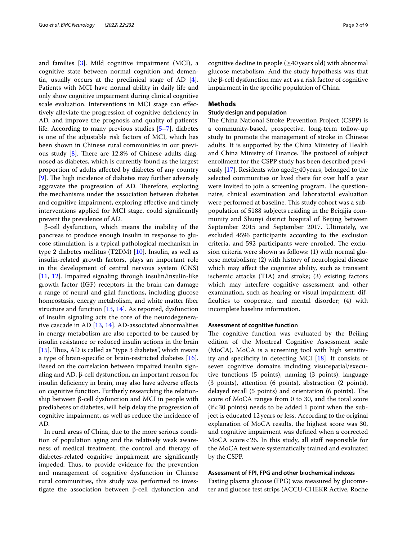and families [\[3](#page-7-2)]. Mild cognitive impairment (MCI), a cognitive state between normal cognition and dementia, usually occurs at the preclinical stage of AD [\[4](#page-7-3)]. Patients with MCI have normal ability in daily life and only show cognitive impairment during clinical cognitive scale evaluation. Interventions in MCI stage can efectively alleviate the progression of cognitive defciency in AD, and improve the prognosis and quality of patients' life. According to many previous studies [\[5](#page-7-4)[–7](#page-7-5)], diabetes is one of the adjustable risk factors of MCI, which has been shown in Chinese rural communities in our previous study  $[8]$  $[8]$  $[8]$ . There are 12.8% of Chinese adults diagnosed as diabetes, which is currently found as the largest proportion of adults afected by diabetes of any country [[9\]](#page-7-7). The high incidence of diabetes may further adversely aggravate the progression of AD. Therefore, exploring the mechanisms under the association between diabetes and cognitive impairment, exploring efective and timely interventions applied for MCI stage, could signifcantly prevent the prevalence of AD.

β-cell dysfunction, which means the inability of the pancreas to produce enough insulin in response to glucose stimulation, is a typical pathological mechanism in type 2 diabetes mellitus (T2DM) [[10\]](#page-7-8). Insulin, as well as insulin-related growth factors, plays an important role in the development of central nervous system (CNS) [[11,](#page-7-9) [12\]](#page-7-10). Impaired signaling through insulin/insulin-like growth factor (IGF) receptors in the brain can damage a range of neural and glial functions, including glucose homeostasis, energy metabolism, and white matter fber structure and function [\[13](#page-7-11), [14\]](#page-7-12). As reported, dysfunction of insulin signaling acts the core of the neurodegenerative cascade in AD [\[13](#page-7-11), [14\]](#page-7-12). AD-associated abnormalities in energy metabolism are also reported to be caused by insulin resistance or reduced insulin actions in the brain [[15\]](#page-7-13). Thus, AD is called as "type 3 diabetes", which means a type of brain-specifc or brain-restricted diabetes [\[16](#page-7-14)]. Based on the correlation between impaired insulin signaling and AD, β-cell dysfunction, an important reason for insulin defciency in brain, may also have adverse efects on cognitive function. Furtherly researching the relationship between β-cell dysfunction and MCI in people with prediabetes or diabetes, will help delay the progression of cognitive impairment, as well as reduce the incidence of AD.

In rural areas of China, due to the more serious condition of population aging and the relatively weak awareness of medical treatment, the control and therapy of diabetes-related cognitive impairment are signifcantly impeded. Thus, to provide evidence for the prevention and management of cognitive dysfunction in Chinese rural communities, this study was performed to investigate the association between β-cell dysfunction and

cognitive decline in people ( $\geq$ 40 years old) with abnormal glucose metabolism. And the study hypothesis was that the β-cell dysfunction may act as a risk factor of cognitive impairment in the specifc population of China.

# **Methods**

# **Study design and population**

The China National Stroke Prevention Project (CSPP) is a community-based, prospective, long-term follow-up study to promote the management of stroke in Chinese adults. It is supported by the China Ministry of Health and China Ministry of Finance. The protocol of subject enrollment for the CSPP study has been described previ-ously [[17\]](#page-7-15). Residents who aged $\geq$ 40 years, belonged to the selected communities or lived there for over half a year were invited to join a screening program. The questionnaire, clinical examination and laboratorial evaluation were performed at baseline. This study cohort was a subpopulation of 5188 subjects residing in the Beiqijia community and Shunyi district hospital of Beijing between September 2015 and September 2017. Ultimately, we excluded 4596 participants according to the exclusion criteria, and 592 participants were enrolled. The exclusion criteria were shown as follows: (1) with normal glucose metabolism; (2) with history of neurological disease which may afect the cognitive ability, such as transient ischemic attacks (TIA) and stroke; (3) existing factors which may interfere cognitive assessment and other examination, such as hearing or visual impairment, diffculties to cooperate, and mental disorder; (4) with incomplete baseline information.

# **Assessment of cognitive function**

The cognitive function was evaluated by the Beijing edition of the Montreal Cognitive Assessment scale (MoCA). MoCA is a screening tool with high sensitivity and specifcity in detecting MCI [\[18](#page-7-16)]. It consists of seven cognitive domains including visuospatial/executive functions (5 points), naming (3 points), language (3 points), attention (6 points), abstraction (2 points), delayed recall (5 points) and orientation (6 points). The score of MoCA ranges from 0 to 30, and the total score (if<30 points) needs to be added 1 point when the subject is educated 12years or less. According to the original explanation of MoCA results, the highest score was 30, and cognitive impairment was defned when a corrected  $MoCA score < 26$ . In this study, all staff responsible for the MoCA test were systematically trained and evaluated by the CSPP.

# **Assessment of FPI, FPG and other biochemical indexes**

Fasting plasma glucose (FPG) was measured by glucometer and glucose test strips (ACCU-CHEKR Active, Roche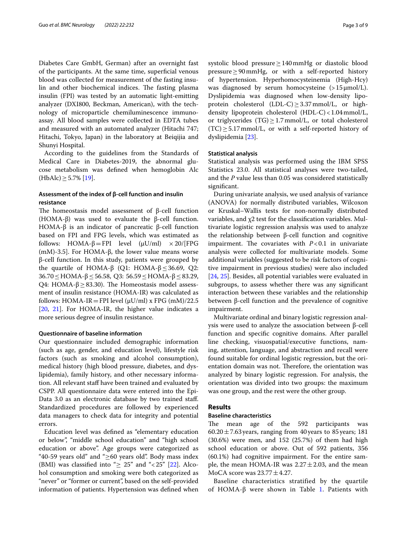Diabetes Care GmbH, German) after an overnight fast of the participants. At the same time, superfcial venous blood was collected for measurement of the fasting insulin and other biochemical indices. The fasting plasma insulin (FPI) was tested by an automatic light-emitting analyzer (DXI800, Beckman, American), with the technology of microparticle chemiluminescence immunoassay. All blood samples were collected in EDTA tubes and measured with an automated analyzer (Hitachi 747; Hitachi, Tokyo, Japan) in the laboratory at Beiqijia and Shunyi Hospital.

According to the guidelines from the Standards of Medical Care in Diabetes-2019, the abnormal glucose metabolism was defned when hemoglobin Alc  $(HbAlc)$  ≥ 5.7% [[19\]](#page-7-17).

# **Assessment of the index of β‑cell function and insulin resistance**

The homeostasis model assessment of  $\beta$ -cell function (HOMA-β) was used to evaluate the β-cell function. HOMA-β is an indicator of pancreatic β-cell function based on FPI and FPG levels, which was estimated as follows: HOMA- $\beta$  = FPI level ( $\mu$ U/ml)  $\times$  20/[FPG (mM)-3.5]. For HOMA-β, the lower value means worse β-cell function. In this study, patients were grouped by the quartile of HOMA-β (Q1: HOMA-β  $\leq$  36.69, Q2: 36.70≤HOMA-β≤56.58, Q3: 56.59≤HOMA-β≤83.29, Q4: HOMA-β $\geq$ 83.30). The Homeostasis model assessment of insulin resistance (HOMA-IR) was calculated as follows:  $HOMA-IR = FPI$  level ( $\mu U/ml$ ) x FPG (mM)/22.5 [[20,](#page-7-18) [21\]](#page-7-19). For HOMA-IR, the higher value indicates a more serious degree of insulin resistance.

### **Questionnaire of baseline information**

Our questionnaire included demographic information (such as age, gender, and education level), lifestyle risk factors (such as smoking and alcohol consumption), medical history (high blood pressure, diabetes, and dyslipidemia), family history, and other necessary information. All relevant staff have been trained and evaluated by CSPP. All questionnaire data were entered into the Epi-Data 3.0 as an electronic database by two trained staff. Standardized procedures are followed by experienced data managers to check data for integrity and potential errors.

Education level was defned as "elementary education or below", "middle school education" and "high school education or above". Age groups were categorized as "40-59 years old" and "≥60 years old". Body mass index (BMI) was classified into " $\geq$  25" and "<25" [[22\]](#page-7-20). Alcohol consumption and smoking were both categorized as "never" or "former or current", based on the self-provided information of patients. Hypertension was defned when systolic blood pressure≥140mmHg or diastolic blood pressure≥90mmHg, or with a self-reported history of hypertension. Hyperhomocysteinemia (High-Hcy) was diagnosed by serum homocysteine  $(>15 \mu \text{mol/L})$ . Dyslipidemia was diagnosed when low-density lipoprotein cholesterol  $(LDL-C) \geq 3.37$  mmol/L, or highdensity lipoprotein cholesterol (HDL-C)<1.04mmol/L, or triglycerides (TG)  $\geq$  1.7 mmol/L, or total cholesterol  $(TC) \geq 5.17$  mmol/L, or with a self-reported history of dyslipidemia [[23\]](#page-7-21).

## **Statistical analysis**

Statistical analysis was performed using the IBM SPSS Statistics 23.0. All statistical analyses were two-tailed, and the *P* value less than 0.05 was considered statistically signifcant.

During univariate analysis, we used analysis of variance (ANOVA) for normally distributed variables, Wilcoxon or Kruskal–Wallis tests for non-normally distributed variables, and χ2 test for the classifcation variables. Multivariate logistic regression analysis was used to analyze the relationship between β-cell function and cognitive impairment. The covariates with  $P < 0.1$  in univariate analysis were collected for multivariate models. Some additional variables (suggested to be risk factors of cognitive impairment in previous studies) were also included [[24,](#page-7-22) [25\]](#page-7-23). Besides, all potential variables were evaluated in subgroups, to assess whether there was any signifcant interaction between these variables and the relationship between β-cell function and the prevalence of cognitive impairment.

Multivariate ordinal and binary logistic regression analysis were used to analyze the association between β-cell function and specifc cognitive domains. After parallel line checking, visuospatial/executive functions, naming, attention, language, and abstraction and recall were found suitable for ordinal logistic regression, but the orientation domain was not. Therefore, the orientation was analyzed by binary logistic regression. For analysis, the orientation was divided into two groups: the maximum was one group, and the rest were the other group.

# **Results**

# **Baseline characteristics**

The mean age of the 592 participants was 60.20 $\pm$ 7.63 years, ranging from 40 years to 85 years; 181 (30.6%) were men, and 152 (25.7%) of them had high school education or above. Out of 592 patients, 356 (60.1%) had cognitive impairment. For the entire sample, the mean HOMA-IR was  $2.27 \pm 2.03$ , and the mean MoCA score was  $23.77 \pm 4.27$ .

Baseline characteristics stratified by the quartile of HOMA-β were shown in Table [1](#page-3-0). Patients with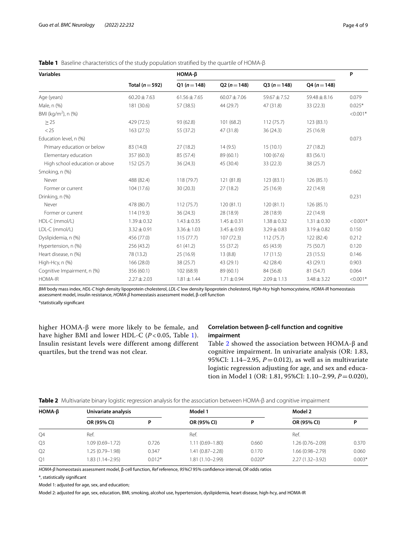| <b>Variables</b>                |                     | $HOMA-B$         |                  |                 |                  | P          |
|---------------------------------|---------------------|------------------|------------------|-----------------|------------------|------------|
|                                 | Total ( $n = 592$ ) | $Q1(n=148)$      | $Q2(n=148)$      | $Q3(n=148)$     | $Q4 (n = 148)$   |            |
| Age (years)                     | $60.20 \pm 7.63$    | $61.56 \pm 7.65$ | $60.07 \pm 7.06$ | 59.67±7.52      | $59.48 \pm 8.16$ | 0.079      |
| Male, n (%)                     | 181 (30.6)          | 57 (38.5)        | 44 (29.7)        | 47 (31.8)       | 33 (22.3)        | $0.025*$   |
| BMI (kg/m <sup>2</sup> ), n (%) |                     |                  |                  |                 |                  | $< 0.001*$ |
| $\geq$ 25                       | 429 (72.5)          | 93 (62.8)        | 101(68.2)        | 112(75.7)       | 123 (83.1)       |            |
| < 25                            | 163 (27.5)          | 55 (37.2)        | 47 (31.8)        | 36(24.3)        | 25 (16.9)        |            |
| Education level, n (%)          |                     |                  |                  |                 |                  | 0.073      |
| Primary education or below      | 83 (14.0)           | 27(18.2)         | 14(9.5)          | 15(10.1)        | 27(18.2)         |            |
| Elementary education            | 357 (60.3)          | 85 (57.4)        | 89 (60.1)        | 100(67.6)       | 83 (56.1)        |            |
| High school education or above  | 152 (25.7)          | 36(24.3)         | 45 (30.4)        | 33(22.3)        | 38 (25.7)        |            |
| Smoking, n (%)                  |                     |                  |                  |                 |                  | 0.662      |
| Never                           | 488 (82.4)          | 118 (79.7)       | 121 (81.8)       | 123(83.1)       | 126 (85.1)       |            |
| Former or current               | 104 (17.6)          | 30(20.3)         | 27(18.2)         | 25(16.9)        | 22 (14.9)        |            |
| Drinking, n (%)                 |                     |                  |                  |                 |                  | 0.231      |
| Never                           | 478 (80.7)          | 112(75.7)        | 120(81.1)        | 120(81.1)       | 126(85.1)        |            |
| Former or current               | 114 (19.3)          | 36(24.3)         | 28 (18.9)        | 28 (18.9)       | 22 (14.9)        |            |
| HDL-C (mmol/L)                  | $1.39 \pm 0.32$     | $1.43 \pm 0.35$  | $1.45 \pm 0.31$  | $1.38 \pm 0.32$ | $1.31 \pm 0.30$  | $< 0.001*$ |
| LDL-C (mmol/L)                  | $3.32 \pm 0.91$     | $3.36 \pm 1.03$  | $3.45 \pm 0.93$  | $3.29 \pm 0.83$ | $3.19 \pm 0.82$  | 0.150      |
| Dyslipidemia, n (%)             | 456 (77.0)          | 115(77.7)        | 107(72.3)        | 112(75.7)       | 122 (82.4)       | 0.212      |
| Hypertension, n (%)             | 256 (43.2)          | 61(41.2)         | 55 (37.2)        | 65 (43.9)       | 75 (50.7)        | 0.120      |
| Heart disease, n (%)            | 78 (13.2)           | 25(16.9)         | 13(8.8)          | 17(11.5)        | 23(15.5)         | 0.146      |
| High-Hcy, n (%)                 | 166 (28.0)          | 38(25.7)         | 43 (29.1)        | 42 (28.4)       | 43 (29.1)        | 0.903      |
| Cognitive Impairment, n (%)     | 356 (60.1)          | 102 (68.9)       | 89 (60.1)        | 84 (56.8)       | 81 (54.7)        | 0.064      |
| <b>HOMA-IR</b>                  | $2.27 \pm 2.03$     | $1.81 \pm 1.44$  | $1.71 \pm 0.94$  | $2.09 \pm 1.13$ | $3.48 \pm 3.22$  | $< 0.001*$ |

<span id="page-3-0"></span>

*BMI* body mass index, *HDL-C* high density lipoprotein cholesterol, *LDL-C* low density lipoprotein cholesterol, *High-Hcy* high homocysteine, *HOMA-IR* homeostasis assessment model, insulin resistance, *HOMA-β* homeostasis assessment model, β-cell function \*statistically signifcant

higher HOMA-β were more likely to be female, and have higher BMI and lower HDL-C (*P* < 0.05, Table [1\)](#page-3-0). Insulin resistant levels were different among different quartiles, but the trend was not clear.

# **Correlation between β‑cell function and cognitive impairment**

Table [2](#page-3-1) showed the association between HOMA-β and cognitive impairment. In univariate analysis (OR: 1.83, 95%CI: 1.14–2.95, *P*=0.012), as well as in multivariate logistic regression adjusting for age, and sex and education in Model 1 (OR: 1.81, 95%CI: 1.10–2.99,  $P = 0.020$ ),

<span id="page-3-1"></span>

|  |  | Table 2 Multivariate binary logistic regression analysis for the association between HOMA-B and cognitive impairment |  |  |
|--|--|----------------------------------------------------------------------------------------------------------------------|--|--|
|  |  |                                                                                                                      |  |  |

| $HOMA-\beta$   | Univariate analysis |          | Model 1             |          | Model 2             |          |  |
|----------------|---------------------|----------|---------------------|----------|---------------------|----------|--|
|                | OR (95% CI)         |          | OR (95% CI)         | D        | OR (95% CI)         | D        |  |
| Q4             | Ref.                |          | Ref.                |          | Ref.                |          |  |
| Q <sub>3</sub> | $1.09(0.69 - 1.72)$ | 0.726    | $1.11(0.69 - 1.80)$ | 0.660    | $1.26(0.76 - 2.09)$ | 0.370    |  |
| Q2             | 1.25 (0.79-1.98)    | 0.347    | $1.41(0.87 - 2.28)$ | 0.170    | 1.66 (0.98-2.79)    | 0.060    |  |
| Q1             | $1.83(1.14 - 2.95)$ | $0.012*$ | $1.81(1.10 - 2.99)$ | $0.020*$ | $2.27(1.32 - 3.92)$ | $0.003*$ |  |

*HOMA-β* homeostasis assessment model, β-cell function, *Ref* reference, *95%CI* 95% confdence interval, *OR* odds ratios

\*, statistically signifcant

Model 1: adjusted for age, sex, and education;

Model 2: adjusted for age, sex, education, BMI, smoking, alcohol use, hypertension, dyslipidemia, heart disease, high-hcy, and HOMA-IR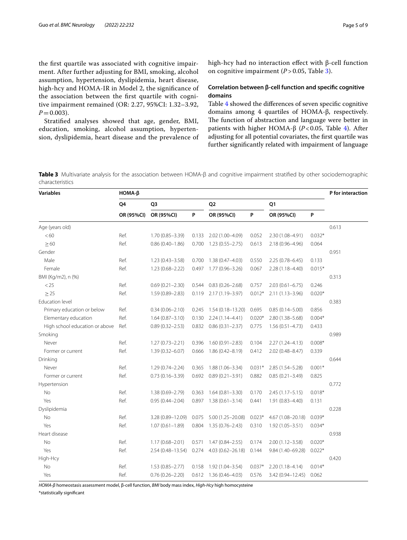the frst quartile was associated with cognitive impairment. After further adjusting for BMI, smoking, alcohol assumption, hypertension, dyslipidemia, heart disease, high-hcy and HOMA-IR in Model 2, the signifcance of the association between the frst quartile with cognitive impairment remained (OR: 2.27, 95%CI: 1.32–3.92,  $P=0.003$ ).

Stratifed analyses showed that age, gender, BMI, education, smoking, alcohol assumption, hypertension, dyslipidemia, heart disease and the prevalence of high-hcy had no interaction efect with β-cell function on cognitive impairment  $(P > 0.05$ , Table [3](#page-4-0)).

# **Correlation between β‑cell function and specifc cognitive domains**

Table [4](#page-5-0) showed the diferences of seven specifc cognitive domains among 4 quartiles of HOMA-β, respectively. The function of abstraction and language were better in patients with higher HOMA-β (*P*<0.05, Table [4\)](#page-5-0). After adjusting for all potential covariates, the frst quartile was further signifcantly related with impairment of language

<span id="page-4-0"></span>**Table 3** Multivariate analysis for the association between HOMA-β and cognitive impairment stratifed by other sociodemographic characteristics

| <b>Variables</b>               | $HOMA-\beta$ |                      |       |                          |          |                     |          |       |  |
|--------------------------------|--------------|----------------------|-------|--------------------------|----------|---------------------|----------|-------|--|
|                                | Q4           | Q3                   |       | Q <sub>2</sub>           |          | Q1                  |          |       |  |
|                                | OR (95%CI)   | OR (95%CI)           | P     | OR (95%CI)               | P        | OR (95%CI)          | P        |       |  |
| Age (years old)                |              |                      |       |                          |          |                     |          | 0.613 |  |
| <60                            | Ref.         | $1.70(0.85 - 3.39)$  | 0.133 | 2.02 (1.00-4.09)         | 0.052    | 2.30 (1.08-4.91)    | $0.032*$ |       |  |
| $\geq 60$                      | Ref.         | $0.86(0.40 - 1.86)$  | 0.700 | $1.23(0.55 - 2.75)$      | 0.613    | 2.18 (0.96-4.96)    | 0.064    |       |  |
| Gender                         |              |                      |       |                          |          |                     |          | 0.951 |  |
| Male                           | Ref.         | $1.23(0.43 - 3.58)$  | 0.700 | 1.38 (0.47-4.03)         | 0.550    | $2.25(0.78 - 6.45)$ | 0.133    |       |  |
| Female                         | Ref.         | $1.23(0.68 - 2.22)$  | 0.497 | 1.77 (0.96-3.26)         | 0.067    | $2.28(1.18 - 4.40)$ | $0.015*$ |       |  |
| BMI (Kg/m2), n (%)             |              |                      |       |                          |          |                     |          | 0.313 |  |
| < 25                           | Ref.         | $0.69(0.21 - 2.30)$  | 0.544 | $0.83(0.26 - 2.68)$      | 0.757    | $2.03(0.61 - 6.75)$ | 0.246    |       |  |
| $\geq$ 25                      | Ref.         | 1.59 (0.89-2.83)     | 0.119 | 2.17 (1.19-3.97)         | $0.012*$ | $2.11(1.13 - 3.96)$ | $0.020*$ |       |  |
| Education level                |              |                      |       |                          |          |                     |          | 0.383 |  |
| Primary education or below     | Ref.         | $0.34(0.06 - 2.10)$  | 0.245 | 1.54 (0.18-13.20)        | 0.695    | $0.85(0.14 - 5.00)$ | 0.856    |       |  |
| Elementary education           | Ref.         | $1.64(0.87 - 3.10)$  | 0.130 | $2.24(1.14 - 4.41)$      | $0.020*$ | 2.80 (1.38-5.68)    | $0.004*$ |       |  |
| High school education or above | Ref.         | $0.89(0.32 - 2.53)$  | 0.832 | $0.86(0.31 - 2.37)$      | 0.775    | $1.56(0.51 - 4.73)$ | 0.433    |       |  |
| Smoking                        |              |                      |       |                          |          |                     |          | 0.989 |  |
| Never                          | Ref.         | $1.27(0.73 - 2.21)$  | 0.396 | $1.60(0.91 - 2.83)$      | 0.104    | $2.27(1.24 - 4.13)$ | $0.008*$ |       |  |
| Former or current              | Ref.         | $1.39(0.32 - 6.07)$  | 0.666 | 1.86 (0.42-8.19)         | 0.412    | $2.02(0.48 - 8.47)$ | 0.339    |       |  |
| Drinking                       |              |                      |       |                          |          |                     |          | 0.644 |  |
| Never                          | Ref.         | $1.29(0.74 - 2.24)$  | 0.365 | 1.88 (1.06-3.34)         | $0.031*$ | $2.85(1.54 - 5.28)$ | $0.001*$ |       |  |
| Former or current              | Ref.         | $0.73(0.16 - 3.39)$  | 0.692 | $0.89(0.21 - 3.91)$      | 0.882    | $0.85(0.21 - 3.49)$ | 0.825    |       |  |
| Hypertension                   |              |                      |       |                          |          |                     |          | 0.772 |  |
| No                             | Ref.         | 1.38 (0.69-2.79)     | 0.363 | $1.64(0.81 - 3.30)$      | 0.170    | $2.45(1.17 - 5.15)$ | $0.018*$ |       |  |
| Yes                            | Ref.         | $0.95(0.44 - 2.04)$  | 0.897 | $1.38(0.61 - 3.14)$      | 0.441    | $1.91(0.83 - 4.40)$ | 0.131    |       |  |
| Dyslipidemia                   |              |                      |       |                          |          |                     |          | 0.228 |  |
| No                             | Ref.         | 3.28 (0.89-12.09)    | 0.075 | $5.00(1.25 - 20.08)$     | $0.023*$ | 4.67 (1.08-20.18)   | $0.039*$ |       |  |
| Yes                            | Ref.         | $1.07(0.61 - 1.89)$  | 0.804 | $1.35(0.76 - 2.43)$      | 0.310    | $1.92(1.05 - 3.51)$ | $0.034*$ |       |  |
| Heart disease                  |              |                      |       |                          |          |                     |          | 0.938 |  |
| No                             | Ref.         | $1.17(0.68 - 2.01)$  | 0.571 | $1.47(0.84 - 2.55)$      | 0.174    | $2.00(1.12 - 3.58)$ | $0.020*$ |       |  |
| Yes                            | Ref.         | $2.54(0.48 - 13.54)$ | 0.274 | $4.03(0.62 - 26.18)$     | 0.144    | 9.84 (1.40-69.28)   | $0.022*$ |       |  |
| High-Hcy                       |              |                      |       |                          |          |                     |          | 0.420 |  |
| No                             | Ref.         | $1.53(0.85 - 2.77)$  | 0.158 | 1.92 (1.04-3.54)         | $0.037*$ | $2.20(1.18 - 4.14)$ | $0.014*$ |       |  |
| Yes                            | Ref.         | $0.76(0.26 - 2.20)$  |       | $0.612$ 1.36 (0.46-4.03) | 0.576    | 3.42 (0.94-12.45)   | 0.062    |       |  |

*HOMA-β* homeostasis assessment model, β-cell function, *BMI* body mass index, *High-Hcy* high homocysteine

\*statistically signifcant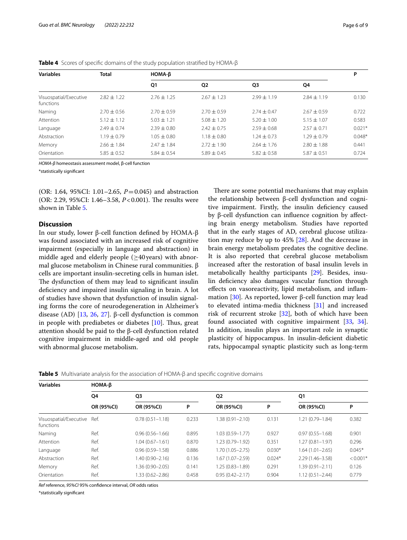| <b>Variables</b>                    | <b>Total</b>    | HOMA-B          |                 | P               |                 |          |
|-------------------------------------|-----------------|-----------------|-----------------|-----------------|-----------------|----------|
|                                     |                 | Q1              | Q <sub>2</sub>  | Q3              | 04              |          |
| Visuospatial/Executive<br>functions | $7.82 + 1.22$   | $2.76 \pm 1.25$ | $2.67 \pm 1.23$ | $2.99 \pm 1.19$ | $2.84 \pm 1.19$ | 0.130    |
| Naming                              | $2.70 + 0.56$   | $2.70 \pm 0.59$ | $2.70 \pm 0.59$ | $2.74 + 0.47$   | $2.67 + 0.59$   | 0.722    |
| Attention                           | $5.12 \pm 1.12$ | $5.03 \pm 1.21$ | $5.08 + 1.20$   | $5.20 \pm 1.00$ | $5.15 \pm 1.07$ | 0.583    |
| Language                            | $7.49 + 0.74$   | $2.39 + 0.80$   | $2.42 \pm 0.75$ | $2.59 + 0.68$   | $2.57 + 0.71$   | $0.021*$ |
| Abstraction                         | $1.19 \pm 0.79$ | $1.05 + 0.80$   | $1.18 + 0.80$   | $1.24 \pm 0.73$ | $1.29 + 0.79$   | $0.048*$ |
| Memory                              | $2.66 \pm 1.84$ | $2.47 \pm 1.84$ | $2.72 \pm 1.90$ | $2.64 \pm 1.76$ | $2.80 \pm 1.88$ | 0.441    |
| Orientation                         | $5.85 \pm 0.52$ | $5.84 \pm 0.54$ | $5.89 \pm 0.45$ | $5.82 \pm 0.58$ | $5.87 \pm 0.51$ | 0.724    |

<span id="page-5-0"></span>**Table 4** Scores of specifc domains of the study population stratifed by HOMA-β

*HOMA-β* homeostasis assessment model, β-cell function

\*statistically signifcant

(OR: 1.64, 95%CI: 1.01–2.65, *P*=0.045) and abstraction (OR: 2.29, 95%CI: 1.46-3.58, *P*<0.001). The results were shown in Table [5.](#page-5-1)

# **Discussion**

In our study, lower β-cell function defned by HOMA-β was found associated with an increased risk of cognitive impairment (especially in language and abstraction) in middle aged and elderly people ( $\geq$ 40 years) with abnormal glucose metabolism in Chinese rural communities. β cells are important insulin-secreting cells in human islet. The dysfunction of them may lead to significant insulin defciency and impaired insulin signaling in brain. A lot of studies have shown that dysfunction of insulin signaling forms the core of neurodegeneration in Alzheimer's disease (AD) [[13](#page-7-11), [26,](#page-7-24) [27](#page-7-25)]. β-cell dysfunction is common in people with prediabetes or diabetes  $[10]$  $[10]$ . Thus, great attention should be paid to the β-cell dysfunction related cognitive impairment in middle-aged and old people with abnormal glucose metabolism.

There are some potential mechanisms that may explain the relationship between β-cell dysfunction and cognitive impairment. Firstly, the insulin defciency caused by β-cell dysfunction can infuence cognition by afecting brain energy metabolism. Studies have reported that in the early stages of AD, cerebral glucose utilization may reduce by up to 45% [\[28](#page-7-26)]. And the decrease in brain energy metabolism predates the cognitive decline. It is also reported that cerebral glucose metabolism increased after the restoration of basal insulin levels in metabolically healthy participants [\[29](#page-7-27)]. Besides, insulin defciency also damages vascular function through efects on vasoreactivity, lipid metabolism, and infammation [[30\]](#page-7-28). As reported, lower β-cell function may lead to elevated intima-media thickness [[31\]](#page-8-0) and increased risk of recurrent stroke [[32\]](#page-8-1), both of which have been found associated with cognitive impairment [[33,](#page-8-2) [34](#page-8-3)]. In addition, insulin plays an important role in synaptic plasticity of hippocampus. In insulin-defcient diabetic rats, hippocampal synaptic plasticity such as long-term

<span id="page-5-1"></span>**Table 5** Multivariate analysis for the association of HOMA-β and specifc cognitive domains

| <b>Variables</b>                         | $HOMA-B$             |                     |                |                     |          |                     |            |  |  |  |  |
|------------------------------------------|----------------------|---------------------|----------------|---------------------|----------|---------------------|------------|--|--|--|--|
|                                          | Q4<br>Q <sub>3</sub> |                     | Q <sub>2</sub> |                     | Q1       |                     |            |  |  |  |  |
|                                          | OR (95%CI)           | OR (95%CI)          | P              | OR (95%CI)          | P        | OR (95%CI)          | P          |  |  |  |  |
| Visuospatial/Executive Ref.<br>functions |                      | $0.78(0.51 - 1.18)$ | 0.233          | 1.38 (0.91-2.10)    | 0.131    | $1.21(0.79 - 1.84)$ | 0.382      |  |  |  |  |
| Naming                                   | Ref.                 | $0.96(0.56 - 1.66)$ | 0.895          | $1.03(0.59 - 1.77)$ | 0.927    | $0.97(0.55 - 1.68)$ | 0.901      |  |  |  |  |
| Attention                                | Ref.                 | $1.04(0.67 - 1.61)$ | 0.870          | $1.23(0.79 - 1.92)$ | 0.351    | $1.27(0.81 - 1.97)$ | 0.296      |  |  |  |  |
| Language                                 | Ref.                 | $0.96(0.59 - 1.58)$ | 0.886          | 1.70 (1.05–2.75)    | $0.030*$ | $1.64(1.01 - 2.65)$ | $0.045*$   |  |  |  |  |
| Abstraction                              | Ref.                 | 1.40 (0.90-2.16)    | 0.136          | $1.67(1.07 - 2.59)$ | $0.024*$ | $2.29(1.46 - 3.58)$ | $< 0.001*$ |  |  |  |  |
| Memory                                   | Ref.                 | 1.36 (0.90–2.05)    | 0.141          | 1.25 (0.83-1.89)    | 0.291    | $1.39(0.91 - 2.11)$ | 0.126      |  |  |  |  |
| Orientation                              | Ref.                 | 1.33 (0.62-2.86)    | 0.458          | $0.95(0.42 - 2.17)$ | 0.904    | $1.12(0.51 - 2.44)$ | 0.779      |  |  |  |  |

*Ref* reference, *95%CI* 95% confdence interval, *OR* odds ratios

\*statistically signifcant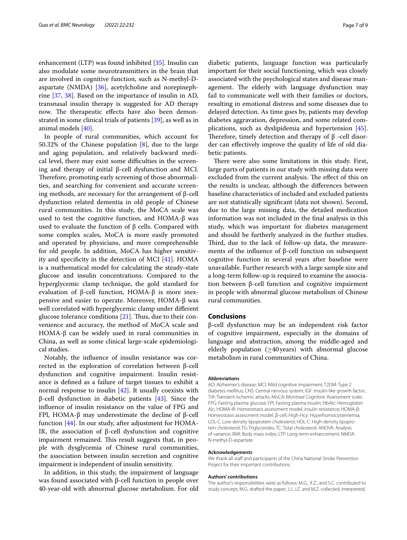enhancement (LTP) was found inhibited [\[35](#page-8-4)]. Insulin can also modulate some neurotransmitters in the brain that are involved in cognitive function, such as N-methyl-Daspartate (NMDA) [[36\]](#page-8-5), acetylcholine and norepinephrine [\[37](#page-8-6), [38](#page-8-7)]. Based on the importance of insulin in AD, transnasal insulin therapy is suggested for AD therapy now. The therapeutic effects have also been demonstrated in some clinical trials of patients [[39\]](#page-8-8), as well as in animal models [[40\]](#page-8-9).

In people of rural communities, which account for 50.32% of the Chinese population  $[8]$  $[8]$ , due to the large and aging population, and relatively backward medical level, there may exist some difficulties in the screening and therapy of initial β-cell dysfunction and MCI. Therefore, promoting early screening of those abnormalities, and searching for convenient and accurate screening methods, are necessary for the arrangement of β-cell dysfunction related dementia in old people of Chinese rural communities. In this study, the MoCA scale was used to test the cognitive function, and HOMA-β was used to evaluate the function of  $β$  cells. Compared with some complex scales, MoCA is more easily promoted and operated by physicians, and more comprehensible for old people. In addition, MoCA has higher sensitivity and specificity in the detection of MCI  $[41]$  $[41]$ . HOMA is a mathematical model for calculating the steady-state glucose and insulin concentrations. Compared to the hyperglycemic clamp technique, the gold standard for evaluation of β-cell function, HOMA-β is more inexpensive and easier to operate. Moreover, HOMA-β was well correlated with hyperglycemic clamp under diferent glucose tolerance conditions  $[21]$  $[21]$ . Thus, due to their convenience and accuracy, the method of MoCA scale and HOMA- $β$  can be widely used in rural communities in China, as well as some clinical large-scale epidemiological studies.

Notably, the infuence of insulin resistance was corrected in the exploration of correlation between β-cell dysfunction and cognitive impairment. Insulin resistance is defned as a failure of target tissues to exhibit a normal response to insulin [[42\]](#page-8-11). It usually coexists with β-cell dysfunction in diabetic patients  $[43]$  $[43]$ . Since the infuence of insulin resistance on the value of FPG and FPI, HOMA-β may underestimate the decline of β-cell function [\[44](#page-8-13)]. In our study, after adjustment for HOMA-IR, the association of β-cell dysfunction and cognitive impairment remained. This result suggests that, in people with dysglycemia of Chinese rural communities, the association between insulin secretion and cognitive impairment is independent of insulin sensitivity.

In addition, in this study, the impairment of language was found associated with β-cell function in people over 40-year-old with abnormal glucose metabolism. For old

diabetic patients, language function was particularly important for their social functioning, which was closely associated with the psychological states and disease management. The elderly with language dysfunction may fail to communicate well with their families or doctors, resulting in emotional distress and some diseases due to delayed detection. As time goes by, patients may develop diabetes aggravation, depression, and some related complications, such as dyslipidemia and hypertension [\[45](#page-8-14)]. Therefore, timely detection and therapy of  $\beta$  -cell disorder can efectively improve the quality of life of old diabetic patients.

There were also some limitations in this study. First, large parts of patients in our study with missing data were excluded from the current analysis. The effect of this on the results is unclear, although the diferences between baseline characteristics of included and excluded patients are not statistically signifcant (data not shown). Second, due to the large missing data, the detailed medication information was not included in the fnal analysis in this study, which was important for diabetes management and should be furtherly analyzed in the further studies. Third, due to the lack of follow-up data, the measurements of the infuence of β-cell function on subsequent cognitive function in several years after baseline were unavailable. Further research with a large sample size and a long-term follow-up is required to examine the association between β-cell function and cognitive impairment in people with abnormal glucose metabolism of Chinese rural communities.

# **Conclusions**

β-cell dysfunction may be an independent risk factor of cognitive impairment, especially in the domains of language and abstraction, among the middle-aged and elderly population ( $\geq$ 40 years) with abnormal glucose metabolism in rural communities of China.

#### **Abbreviations**

AD: Alzheimer's disease; MCI: Mild cognitive impairment; T2DM: Type 2 diabetes mellitus; CNS: Central nervous system; IGF: Insulin-like growth factor; TIA: Transient ischemic attacks; MoCA: Montreal Cognitive Assessment scale; FPG: Fasting plasma glucose; FPI: Fasting plasma insulin; HbAlc: Hemoglobin Alc; HOMA-IR: Homeostasis assessment model, insulin resistance; HOMA-β: Homeostasis assessment model, β-cell; High-Hcy: Hyperhomocysteinemia; LDL-C: Low-density lipoprotein cholesterol; HDL-C: High-density lipoprotein cholesterol; TG: Triglycerides; TC: Total cholesterol; ANOVA: Analysis of variance; BMI: Body mass index; LTP: Long-term enhancement; NMDA: N-methyl-D-aspartate.

# **Acknowledgements**

We thank all staff and participants of the China National Stroke Prevention Project for their important contributions.

#### **Authors' contributions**

The author's responsibilities were as follows: M.G., X.Z., and S.C. contributed to study concept; M.G. drafted the paper; J.J., J.Z. and M.Z. collected, interpreted,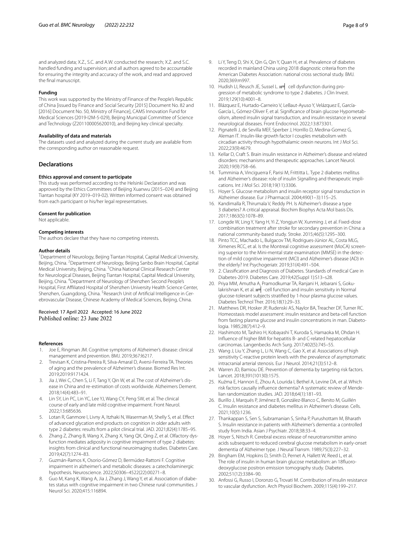and analyzed data; X.Z., S.C. and A.W. conducted the research; X.Z. and S.C. handled funding and supervision; and all authors agreed to be accountable for ensuring the integrity and accuracy of the work, and read and approved the fnal manuscript.

#### **Funding**

This work was supported by the Ministry of Finance of the People's Republic of China [issued by Finance and Social Security [2015] Document No. 82 and [2016] Document No. 50, Ministry of Finance], CAMS Innovation Fund for Medical Sciences (2019-I2M-5-029), Beijing Municipal Committee of Science and Technology (Z201100005620010), and Beijing key clinical specialty.

# **Availability of data and materials**

The datasets used and analyzed during the current study are available from the corresponding author on reasonable request.

# **Declarations**

#### **Ethics approval and consent to participate**

This study was performed according to the Helsinki Declaration and was approved by the Ethics Committees of Beijing Xuanwu (2015–024) and Beijing Tiantan hospital (KY 2019–019-02). Written informed consent was obtained from each participant or his/her legal representatives.

#### **Consent for publication**

Not applicable.

### **Competing interests**

The authors declare that they have no competing interests.

#### **Author details**

<sup>1</sup> Department of Neurology, Beijing Tiantan Hospital, Capital Medical University, Beijing, China. <sup>2</sup> Department of Neurology, Beijing Sanbo Brain Hospital, Capital Medical University, Beijing, China. <sup>3</sup>China National Clinical Research Center for Neurological Diseases, Beijing Tiantan Hospital, Capital Medical University, Beijing, China. <sup>4</sup> Department of Neurology of Shenzhen Second People's Hospital, First Afliated Hospital of Shenzhen University Health Science Center, Shenzhen, Guangdong, China. <sup>5</sup>Research Unit of Artificial Intelligence in Cerebrovascular Disease, Chinese Academy of Medical Sciences, Beijing, China.

# Received: 17 April 2022 Accepted: 16 June 2022 Published online: 23 June 2022

#### **References**

- <span id="page-7-0"></span>1. Joe E, Ringman JM. Cognitive symptoms of Alzheimer's disease: clinical management and prevention. BMJ. 2019;367:l6217.
- <span id="page-7-1"></span>2. Trevisan K, Cristina-Pereira R, Silva-Amaral D, Aversi-Ferreira TA. Theories of aging and the prevalence of Alzheimer's disease. Biomed Res Int. 2019;2019:9171424.
- <span id="page-7-2"></span>3. Jia J, Wei C, Chen S, Li F, Tang Y, Qin W, et al. The cost of Alzheimer's disease in China and re-estimation of costs worldwide. Alzheimers Dement. 2018;14(4):483–91.
- <span id="page-7-3"></span>4. Lin SY, Lin PC, Lin YC, Lee YJ, Wang CY, Peng SW, et al. The clinical course of early and late mild cognitive impairment. Front Neurol. 2022;13:685636.
- <span id="page-7-4"></span>5. Lotan R, Ganmore I, Livny A, Itzhaki N, Waserman M, Shelly S, et al. Efect of advanced glycation end products on cognition in older adults with type 2 diabetes: results from a pilot clinical trial. JAD. 2021;82(4):1785–95.
- Zhang Z, Zhang B, Wang X, Zhang X, Yang QX, Qing Z, et al. Olfactory dysfunction mediates adiposity in cognitive impairment of type 2 diabetes: insights from clinical and functional neuroimaging studies. Diabetes Care. 2019;42(7):1274–83.
- <span id="page-7-5"></span>7. Guzmán-Ramos K, Osorio-Gómez D, Bermúdez-Rattoni F. Cognitive impairment in alzheimer's and metabolic diseases: a catecholaminergic hypothesis. Neuroscience. 2022;S0306–4522(22):00271–8.
- <span id="page-7-6"></span>Guo M, Kang K, Wang A, Jia J, Zhang J, Wang Y, et al. Association of diabetes status with cognitive impairment in two Chinese rural communities. J Neurol Sci. 2020;415:116894.
- <span id="page-7-7"></span>9. Li Y, Teng D, Shi X, Qin G, Qin Y, Quan H, et al. Prevalence of diabetes recorded in mainland China using 2018 diagnostic criteria from the American Diabetes Association: national cross sectional study. BMJ. 2020;369:m997.
- <span id="page-7-8"></span>10. Hudish LI, Reusch JE, Sussel L. н= cell dysfunction during progression of metabolic syndrome to type 2 diabetes. J Clin Invest. 2019;129(10):4001–8.
- <span id="page-7-9"></span>11. Blázquez E, Hurtado-Carneiro V, LeBaut-Ayuso Y, Velázquez E, García-García L, Gómez-Oliver F, et al. Signifcance of brain glucose Hypometabolism, altered insulin signal transduction, and insulin resistance in several neurological diseases. Front Endocrinol. 2022;13:873301.
- <span id="page-7-10"></span>12. Pignatelli J, de Sevilla MEF, Sperber J, Horrillo D, Medina-Gomez G, Aleman IT. Insulin-like growth factor I couples metabolism with circadian activity through hypothalamic orexin neurons. Int J Mol Sci. 2022;23(9):4679.
- <span id="page-7-11"></span>13. Kellar D, Craft S. Brain insulin resistance in Alzheimer's disease and related disorders: mechanisms and therapeutic approaches. Lancet Neurol. 2020;19(9):758–66.
- <span id="page-7-12"></span>14. Tumminia A, Vinciguerra F, Parisi M, Frittitta L. Type 2 diabetes mellitus and Alzheimer's disease: role of insulin Signalling and therapeutic implications. Int J Mol Sci. 2018;19(11):3306.
- <span id="page-7-13"></span>15. Hoyer S. Glucose metabolism and insulin receptor signal transduction in Alzheimer disease. Eur J Pharmacol. 2004;490(1–3):115–25.
- <span id="page-7-14"></span>16. Kandimalla R, Thirumala V, Reddy PH. Is Alzheimer's disease a type 3 diabetes? A critical appraisal. Biochim Biophys Acta Mol basis Dis. 2017;1863(5):1078–89.
- <span id="page-7-15"></span>17. Longde W, Ling Y, Yang H, Yi Z, Yongjun W, Xunming J, et al. Fixed-dose combination treatment after stroke for secondary prevention in China: a national community-based study. Stroke. 2015;46(5):1295–300.
- <span id="page-7-16"></span>18. Pinto TCC, Machado L, Bulgacov TM, Rodrigues-Júnior AL, Costa MLG, Ximenes RCC, et al. Is the Montreal cognitive assessment (MoCA) screening superior to the Mini-mental state examination (MMSE) in the detection of mild cognitive impairment (MCI) and Alzheimer's disease (AD) in the elderly? Int Psychogeriatr. 2019;31(4):491–504.
- <span id="page-7-17"></span>19. 2. Classifcation and Diagnosis of Diabetes. Standards of medical Care in Diabetes-2019. Diabetes Care. 2019;42(Suppl 1):S13–s28.
- <span id="page-7-18"></span>20. Priya MM, Amutha A, Pramodkumar TA, Ranjani H, Jebarani S, Gokulakrishnan K, et al.  $H$  -cell function and insulin sensitivity in Normal glucose-tolerant subjects stratifed by 1-hour plasma glucose values. Diabetes Technol Ther. 2016;18(1):29–33.
- <span id="page-7-19"></span>21. Matthews DR, Hosker JP, Rudenski AS, Naylor BA, Treacher DF, Turner RC. Homeostasis model assessment: insulin resistance and beta-cell function from fasting plasma glucose and insulin concentrations in man. Diabetologia. 1985;28(7):412–9.
- <span id="page-7-20"></span>22. Hashimoto M, Tashiro H, Kobayashi T, Kuroda S, Hamaoka M, Ohdan H. Infuence of higher BMI for hepatitis B- and C-related hepatocellular carcinomas. Langenbecks Arch Surg. 2017;402(5):745–55.
- <span id="page-7-21"></span>23. Wang J, Liu Y, Zhang L, Li N, Wang C, Gao X, et al. Associations of high sensitivity C-reactive protein levels with the prevalence of asymptomatic intracranial arterial stenosis. Eur J Neurol. 2014;21(3):512–8.
- <span id="page-7-22"></span>24. Warren JD, Bamiou DE. Prevention of dementia by targeting risk factors. Lancet. 2018;391(10130):1575.
- <span id="page-7-23"></span>25. Kuźma E, Hannon E, Zhou A, Lourida I, Bethel A, Levine DA, et al. Which risk factors causally infuence dementia? A systematic review of Mendelian randomization studies. JAD. 2018;64(1):181–93.
- <span id="page-7-24"></span>26. Burillo J, Marqués P, Jiménez B, González-Blanco C, Benito M, Guillén C. Insulin resistance and diabetes mellitus in Alzheimer's disease. Cells. 2021;10(5):1236.
- <span id="page-7-25"></span>27. Thankappan S, Sen S, Subramanian S, Sinha P, Purushottam M, Bharath S. Insulin resistance in patients with Alzheimer's dementia: a controlled study from India. Asian J Psychiatr. 2018;38:33–4.
- <span id="page-7-26"></span>28. Hoyer S, Nitsch R. Cerebral excess release of neurotransmitter amino acids subsequent to reduced cerebral glucose metabolism in early-onset dementia of Alzheimer type. J Neural Transm. 1989;75(3):227–32.
- <span id="page-7-27"></span>29. Bingham EM, Hopkins D, Smith D, Pernet A, Hallett W, Reed L, et al. The role of insulin in human brain glucose metabolism: an 18fuorodeoxyglucose positron emission tomography study. Diabetes. 2002;51(12):3384–90.
- <span id="page-7-28"></span>30. Anfossi G, Russo I, Doronzo G, Trovati M. Contribution of insulin resistance to vascular dysfunction. Arch Physiol Biochem. 2009;115(4):199–217.